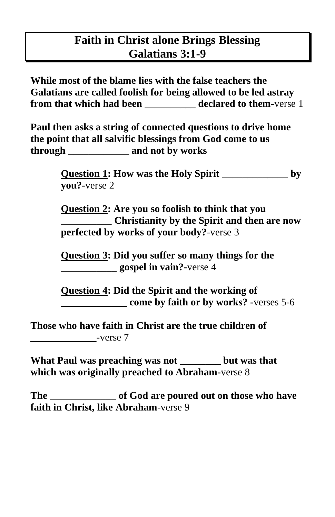## **Faith in Christ alone Brings Blessing Galatians 3:1-9**

**While most of the blame lies with the false teachers the Galatians are called foolish for being allowed to be led astray from that which had been declared to them-verse 1** 

**Paul then asks a string of connected questions to drive home the point that all salvific blessings from God come to us through \_\_\_\_\_\_\_\_\_\_\_\_ and not by works**

> **Question 1: How was the Holy Spirit \_\_\_\_\_\_\_\_\_\_\_\_\_ by you?-**verse 2

> **Question 2: Are you so foolish to think that you \_\_\_\_\_\_\_\_\_\_ Christianity by the Spirit and then are now perfected by works of your body?**-verse 3

**Question 3: Did you suffer so many things for the \_\_\_\_\_\_\_\_\_\_\_ gospel in vain?-**verse 4

**Question 4: Did the Spirit and the working of come by faith or by works? -**verses 5-6

**Those who have faith in Christ are the true children of \_\_\_\_\_\_\_\_\_\_\_\_\_-**verse 7

**What Paul was preaching was not \_\_\_\_\_\_\_\_ but was that which was originally preached to Abraham-**verse 8

**The \_\_\_\_\_\_\_\_\_\_\_\_\_ of God are poured out on those who have faith in Christ, like Abraham**-verse 9